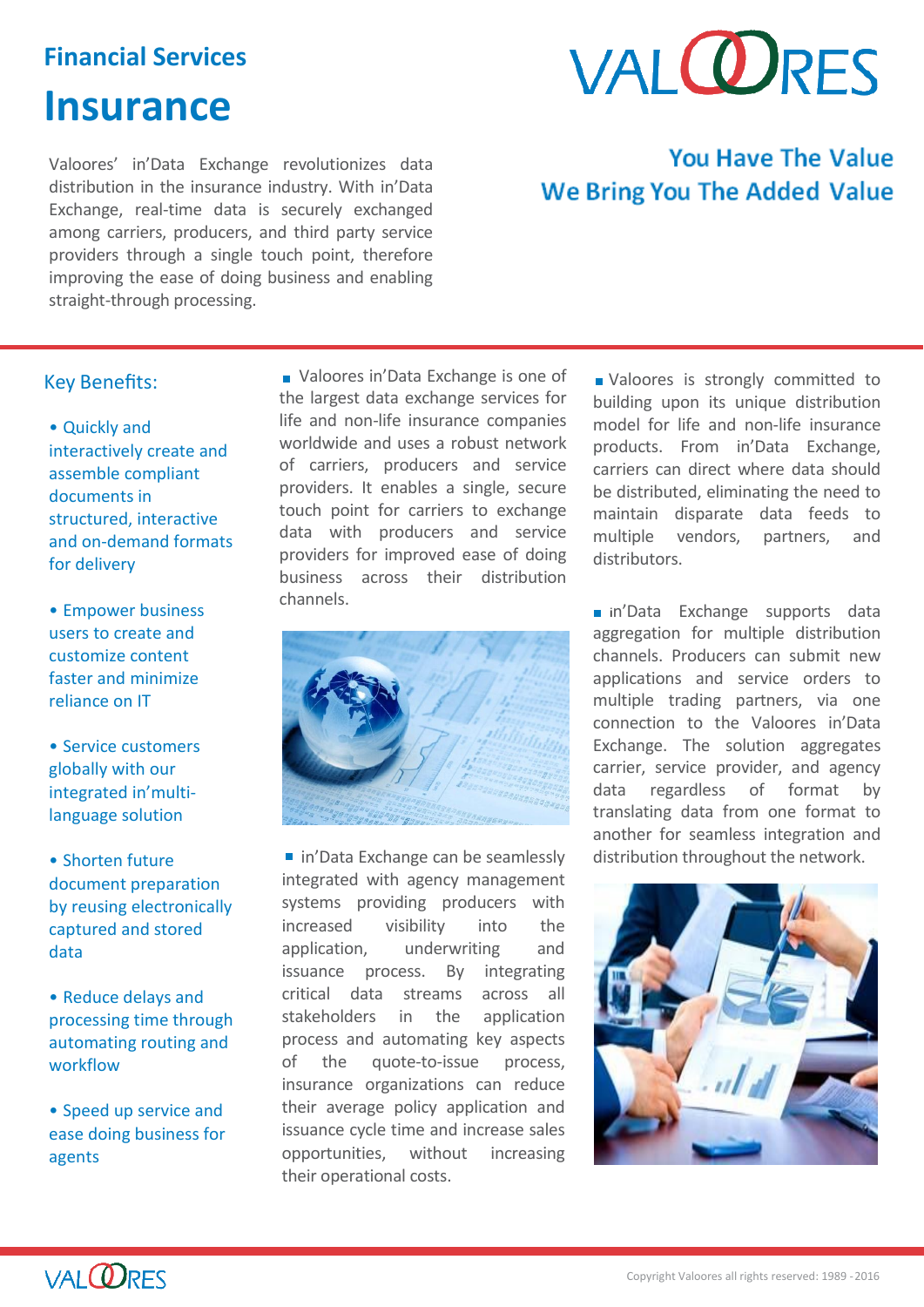## **Financial Services**

# **Insurance**

Valoores' in'Data Exchange revolutionizes data distribution in the insurance industry. With in'Data Exchange, real-time data is securely exchanged among carriers, producers, and third party service providers through a single touch point, therefore improving the ease of doing business and enabling straight-through processing.

# **VAI ODRES**

# **You Have The Value We Bring You The Added Value**

## Key Benefits:

- Quickly and interactively create and assemble compliant documents in structured, interactive and on-demand formats for delivery
- Empower business users to create and customize content faster and minimize reliance on IT
- Service customers globally with our integrated in'multilanguage solution
- Shorten future document preparation by reusing electronically captured and stored data
- Reduce delays and processing time through automating routing and workflow
- Speed up service and ease doing business for agents

Valoores in'Data Exchange is one of the largest data exchange services for life and non-life insurance companies worldwide and uses a robust network of carriers, producers and service providers. It enables a single, secure touch point for carriers to exchange data with producers and service providers for improved ease of doing business across their distribution channels.



■ in'Data Exchange can be seamlessly integrated with agency management systems providing producers with increased visibility into the application, underwriting and issuance process. By integrating critical data streams across all stakeholders in the application process and automating key aspects of the quote-to-issue process, insurance organizations can reduce their average policy application and issuance cycle time and increase sales opportunities, without increasing their operational costs.

**N** Valoores is strongly committed to building upon its unique distribution model for life and non-life insurance products. From in'Data Exchange, carriers can direct where data should be distributed, eliminating the need to maintain disparate data feeds to multiple vendors, partners, and distributors.

n'Data Exchange supports data aggregation for multiple distribution channels. Producers can submit new applications and service orders to multiple trading partners, via one connection to the Valoores in'Data Exchange. The solution aggregates carrier, service provider, and agency data regardless of format by translating data from one format to another for seamless integration and distribution throughout the network.